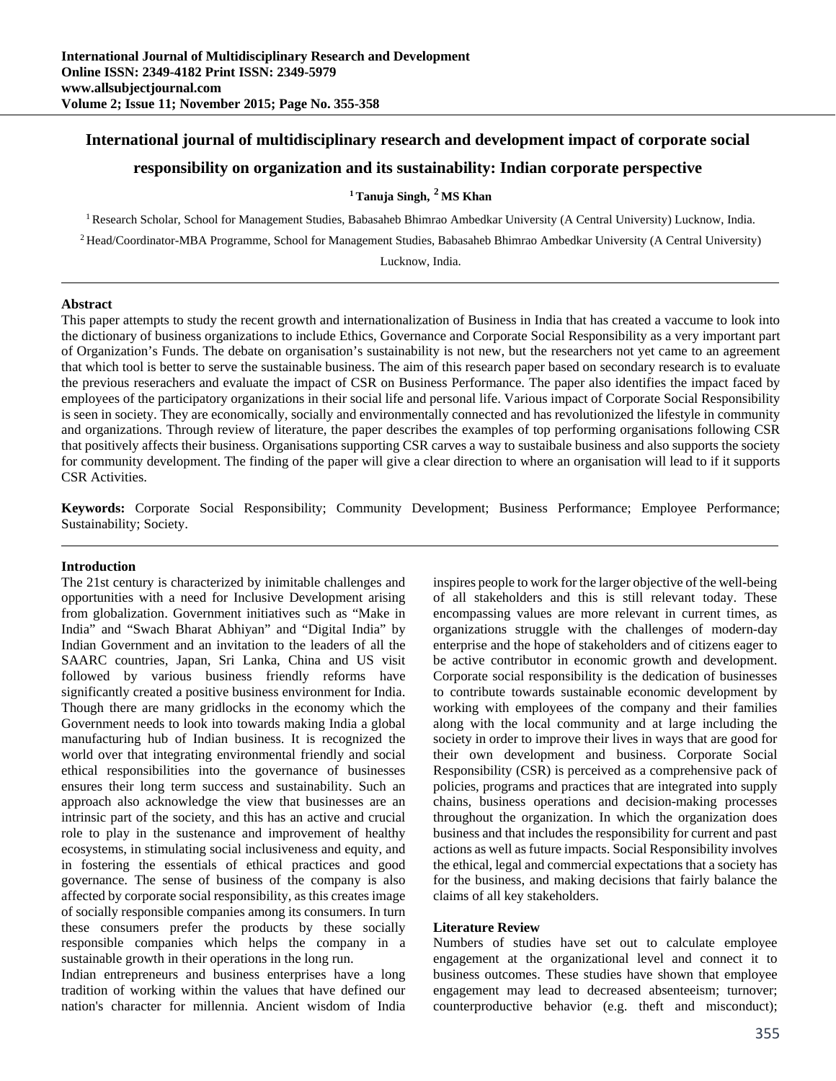## **International journal of multidisciplinary research and development impact of corporate social**

# **responsibility on organization and its sustainability: Indian corporate perspective**

## **1 Tanuja Singh, 2 MS Khan**

<sup>1</sup> Research Scholar, School for Management Studies, Babasaheb Bhimrao Ambedkar University (A Central University) Lucknow, India.

<sup>2</sup> Head/Coordinator-MBA Programme, School for Management Studies, Babasaheb Bhimrao Ambedkar University (A Central University)

Lucknow, India.

#### **Abstract**

This paper attempts to study the recent growth and internationalization of Business in India that has created a vaccume to look into the dictionary of business organizations to include Ethics, Governance and Corporate Social Responsibility as a very important part of Organization's Funds. The debate on organisation's sustainability is not new, but the researchers not yet came to an agreement that which tool is better to serve the sustainable business. The aim of this research paper based on secondary research is to evaluate the previous reserachers and evaluate the impact of CSR on Business Performance. The paper also identifies the impact faced by employees of the participatory organizations in their social life and personal life. Various impact of Corporate Social Responsibility is seen in society. They are economically, socially and environmentally connected and has revolutionized the lifestyle in community and organizations. Through review of literature, the paper describes the examples of top performing organisations following CSR that positively affects their business. Organisations supporting CSR carves a way to sustaibale business and also supports the society for community development. The finding of the paper will give a clear direction to where an organisation will lead to if it supports CSR Activities.

**Keywords:** Corporate Social Responsibility; Community Development; Business Performance; Employee Performance; Sustainability; Society.

#### **Introduction**

The 21st century is characterized by inimitable challenges and opportunities with a need for Inclusive Development arising from globalization. Government initiatives such as "Make in India" and "Swach Bharat Abhiyan" and "Digital India" by Indian Government and an invitation to the leaders of all the SAARC countries, Japan, Sri Lanka, China and US visit followed by various business friendly reforms have significantly created a positive business environment for India. Though there are many gridlocks in the economy which the Government needs to look into towards making India a global manufacturing hub of Indian business. It is recognized the world over that integrating environmental friendly and social ethical responsibilities into the governance of businesses ensures their long term success and sustainability. Such an approach also acknowledge the view that businesses are an intrinsic part of the society, and this has an active and crucial role to play in the sustenance and improvement of healthy ecosystems, in stimulating social inclusiveness and equity, and in fostering the essentials of ethical practices and good governance. The sense of business of the company is also affected by corporate social responsibility, as this creates image of socially responsible companies among its consumers. In turn these consumers prefer the products by these socially responsible companies which helps the company in a sustainable growth in their operations in the long run.

Indian entrepreneurs and business enterprises have a long tradition of working within the values that have defined our nation's character for millennia. Ancient wisdom of India

inspires people to work for the larger objective of the well-being of all stakeholders and this is still relevant today. These encompassing values are more relevant in current times, as organizations struggle with the challenges of modern-day enterprise and the hope of stakeholders and of citizens eager to be active contributor in economic growth and development. Corporate social responsibility is the dedication of businesses to contribute towards sustainable economic development by working with employees of the company and their families along with the local community and at large including the society in order to improve their lives in ways that are good for their own development and business. Corporate Social Responsibility (CSR) is perceived as a comprehensive pack of policies, programs and practices that are integrated into supply chains, business operations and decision-making processes throughout the organization. In which the organization does business and that includes the responsibility for current and past actions as well as future impacts. Social Responsibility involves the ethical, legal and commercial expectations that a society has for the business, and making decisions that fairly balance the claims of all key stakeholders.

#### **Literature Review**

Numbers of studies have set out to calculate employee engagement at the organizational level and connect it to business outcomes. These studies have shown that employee engagement may lead to decreased absenteeism; turnover; counterproductive behavior (e.g. theft and misconduct);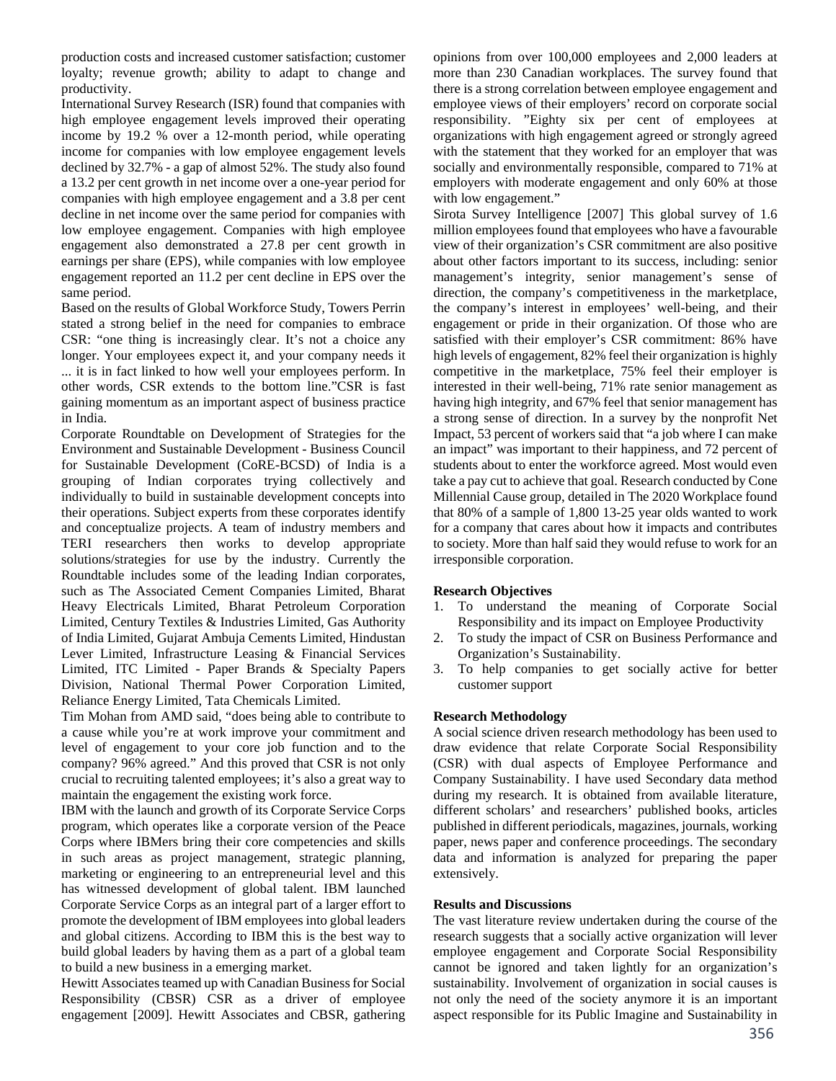production costs and increased customer satisfaction; customer loyalty; revenue growth; ability to adapt to change and productivity.

International Survey Research (ISR) found that companies with high employee engagement levels improved their operating income by 19.2 % over a 12-month period, while operating income for companies with low employee engagement levels declined by 32.7% - a gap of almost 52%. The study also found a 13.2 per cent growth in net income over a one-year period for companies with high employee engagement and a 3.8 per cent decline in net income over the same period for companies with low employee engagement. Companies with high employee engagement also demonstrated a 27.8 per cent growth in earnings per share (EPS), while companies with low employee engagement reported an 11.2 per cent decline in EPS over the same period.

Based on the results of Global Workforce Study, Towers Perrin stated a strong belief in the need for companies to embrace CSR: "one thing is increasingly clear. It's not a choice any longer. Your employees expect it, and your company needs it ... it is in fact linked to how well your employees perform. In other words, CSR extends to the bottom line."CSR is fast gaining momentum as an important aspect of business practice in India.

Corporate Roundtable on Development of Strategies for the Environment and Sustainable Development - Business Council for Sustainable Development (CoRE-BCSD) of India is a grouping of Indian corporates trying collectively and individually to build in sustainable development concepts into their operations. Subject experts from these corporates identify and conceptualize projects. A team of industry members and TERI researchers then works to develop appropriate solutions/strategies for use by the industry. Currently the Roundtable includes some of the leading Indian corporates, such as The Associated Cement Companies Limited*,* Bharat Heavy Electricals Limited*,* Bharat Petroleum Corporation Limited*,* Century Textiles & Industries Limited*,* Gas Authority of India Limited*,* Gujarat Ambuja Cements Limited*,* Hindustan Lever Limited*,* Infrastructure Leasing & Financial Services Limited*,* ITC Limited - Paper Brands & Specialty Papers Division, National Thermal Power Corporation Limited*,*  Reliance Energy Limited*,* Tata Chemicals Limited.

Tim Mohan from AMD said, "does being able to contribute to a cause while you're at work improve your commitment and level of engagement to your core job function and to the company? 96% agreed." And this proved that CSR is not only crucial to recruiting talented employees; it's also a great way to maintain the engagement the existing work force.

IBM with the launch and growth of its Corporate Service Corps program, which operates like a corporate version of the Peace Corps where IBMers bring their core competencies and skills in such areas as project management, strategic planning, marketing or engineering to an entrepreneurial level and this has witnessed development of global talent. IBM launched Corporate Service Corps as an integral part of a larger effort to promote the development of IBM employees into global leaders and global citizens. According to IBM this is the best way to build global leaders by having them as a part of a global team to build a new business in a emerging market.

Hewitt Associates teamed up with Canadian Business for Social Responsibility (CBSR) CSR as a driver of employee engagement [2009]. Hewitt Associates and CBSR, gathering

opinions from over 100,000 employees and 2,000 leaders at more than 230 Canadian workplaces. The survey found that there is a strong correlation between employee engagement and employee views of their employers' record on corporate social responsibility. "Eighty six per cent of employees at organizations with high engagement agreed or strongly agreed with the statement that they worked for an employer that was socially and environmentally responsible, compared to 71% at employers with moderate engagement and only 60% at those with low engagement."

Sirota Survey Intelligence [2007] This global survey of 1.6 million employees found that employees who have a favourable view of their organization's CSR commitment are also positive about other factors important to its success, including: senior management's integrity, senior management's sense of direction, the company's competitiveness in the marketplace, the company's interest in employees' well-being, and their engagement or pride in their organization. Of those who are satisfied with their employer's CSR commitment: 86% have high levels of engagement, 82% feel their organization is highly competitive in the marketplace, 75% feel their employer is interested in their well-being, 71% rate senior management as having high integrity, and 67% feel that senior management has a strong sense of direction. In a survey by the nonprofit Net Impact, 53 percent of workers said that "a job where I can make an impact" was important to their happiness, and 72 percent of students about to enter the workforce agreed. Most would even take a pay cut to achieve that goal. Research conducted by Cone Millennial Cause group, detailed in The 2020 Workplace found that 80% of a sample of 1,800 13-25 year olds wanted to work for a company that cares about how it impacts and contributes to society. More than half said they would refuse to work for an irresponsible corporation.

## **Research Objectives**

- 1. To understand the meaning of Corporate Social Responsibility and its impact on Employee Productivity
- 2. To study the impact of CSR on Business Performance and Organization's Sustainability.
- 3. To help companies to get socially active for better customer support

## **Research Methodology**

A social science driven research methodology has been used to draw evidence that relate Corporate Social Responsibility (CSR) with dual aspects of Employee Performance and Company Sustainability. I have used Secondary data method during my research. It is obtained from available literature, different scholars' and researchers' published books, articles published in different periodicals, magazines, journals, working paper, news paper and conference proceedings. The secondary data and information is analyzed for preparing the paper extensively.

## **Results and Discussions**

The vast literature review undertaken during the course of the research suggests that a socially active organization will lever employee engagement and Corporate Social Responsibility cannot be ignored and taken lightly for an organization's sustainability. Involvement of organization in social causes is not only the need of the society anymore it is an important aspect responsible for its Public Imagine and Sustainability in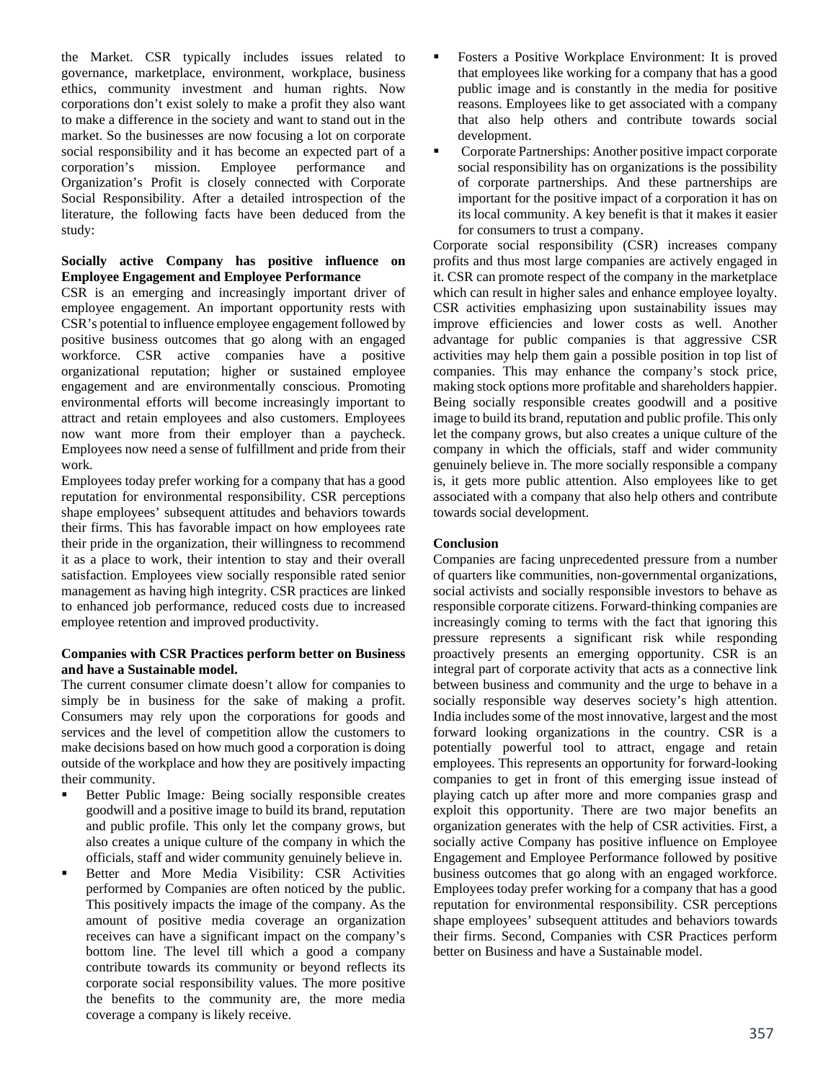the Market. CSR typically includes issues related to governance, marketplace, environment, workplace, business ethics, community investment and human rights. Now corporations don't exist solely to make a profit they also want to make a difference in the society and want to stand out in the market. So the businesses are now focusing a lot on corporate social responsibility and it has become an expected part of a corporation's mission. Employee performance and Organization's Profit is closely connected with Corporate Social Responsibility. After a detailed introspection of the literature, the following facts have been deduced from the study:

## **Socially active Company has positive influence on Employee Engagement and Employee Performance**

CSR is an emerging and increasingly important driver of employee engagement. An important opportunity rests with CSR's potential to influence employee engagement followed by positive business outcomes that go along with an engaged workforce. CSR active companies have a positive organizational reputation; higher or sustained employee engagement and are environmentally conscious. Promoting environmental efforts will become increasingly important to attract and retain employees and also customers. Employees now want more from their employer than a paycheck. Employees now need a sense of fulfillment and pride from their work.

Employees today prefer working for a company that has a good reputation for environmental responsibility. CSR perceptions shape employees' subsequent attitudes and behaviors towards their firms. This has favorable impact on how employees rate their pride in the organization, their willingness to recommend it as a place to work, their intention to stay and their overall satisfaction. Employees view socially responsible rated senior management as having high integrity. CSR practices are linked to enhanced job performance, reduced costs due to increased employee retention and improved productivity.

## **Companies with CSR Practices perform better on Business and have a Sustainable model.**

The current consumer climate doesn't allow for companies to simply be in business for the sake of making a profit. Consumers may rely upon the corporations for goods and services and the level of competition allow the customers to make decisions based on how much good a corporation is doing outside of the workplace and how they are positively impacting their community.

- Better Public Image*:* Being socially responsible creates goodwill and a positive image to build its brand, reputation and public profile. This only let the company grows, but also creates a unique culture of the company in which the officials, staff and wider community genuinely believe in.
- **Better and More Media Visibility: CSR Activities** performed by Companies are often noticed by the public. This positively impacts the image of the company. As the amount of positive media coverage an organization receives can have a significant impact on the company's bottom line. The level till which a good a company contribute towards its community or beyond reflects its corporate social responsibility values. The more positive the benefits to the community are, the more media coverage a company is likely receive.
- Fosters a Positive Workplace Environment: It is proved that employees like working for a company that has a good public image and is constantly in the media for positive reasons. Employees like to get associated with a company that also help others and contribute towards social development.
- Corporate Partnerships: Another positive impact corporate social responsibility has on organizations is the possibility of corporate partnerships. And these partnerships are important for the positive impact of a corporation it has on its local community. A key benefit is that it makes it easier for consumers to trust a company.

Corporate social responsibility (CSR) increases company profits and thus most large companies are actively engaged in it. CSR can promote respect of the company in the marketplace which can result in higher sales and enhance employee loyalty. CSR activities emphasizing upon sustainability issues may improve efficiencies and lower costs as well. Another advantage for public companies is that aggressive CSR activities may help them gain a possible position in top list of companies. This may enhance the company's stock price, making stock options more profitable and shareholders happier. Being socially responsible creates goodwill and a positive image to build its brand, reputation and public profile. This only let the company grows, but also creates a unique culture of the company in which the officials, staff and wider community genuinely believe in. The more socially responsible a company is, it gets more public attention. Also employees like to get associated with a company that also help others and contribute towards social development.

## **Conclusion**

Companies are facing unprecedented pressure from a number of quarters like communities, non-governmental organizations, social activists and socially responsible investors to behave as responsible corporate citizens. Forward-thinking companies are increasingly coming to terms with the fact that ignoring this pressure represents a significant risk while responding proactively presents an emerging opportunity. CSR is an integral part of corporate activity that acts as a connective link between business and community and the urge to behave in a socially responsible way deserves society's high attention. India includes some of the most innovative, largest and the most forward looking organizations in the country. CSR is a potentially powerful tool to attract, engage and retain employees. This represents an opportunity for forward-looking companies to get in front of this emerging issue instead of playing catch up after more and more companies grasp and exploit this opportunity. There are two major benefits an organization generates with the help of CSR activities. First, a socially active Company has positive influence on Employee Engagement and Employee Performance followed by positive business outcomes that go along with an engaged workforce. Employees today prefer working for a company that has a good reputation for environmental responsibility. CSR perceptions shape employees' subsequent attitudes and behaviors towards their firms. Second, Companies with CSR Practices perform better on Business and have a Sustainable model.